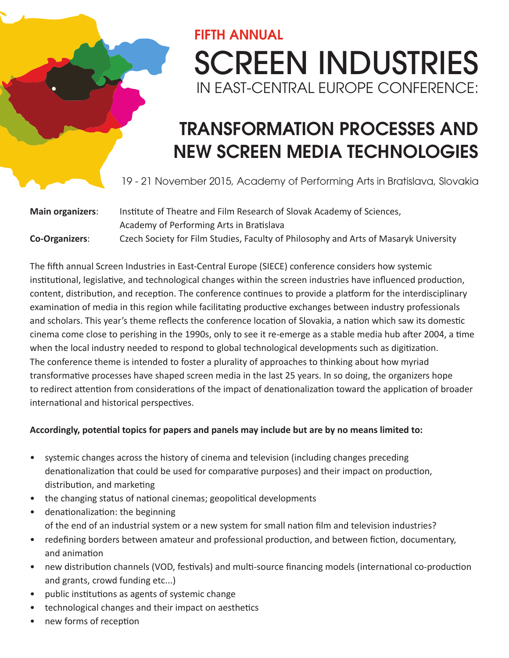## FIFTH ANNUAL SCREEN INDUSTRIES IN EAST-CENTRAL EUROPE CONFERENCE:

## TRANSFORMATION PROCESSES AND NEW SCREEN MEDIA TECHNOLOGIES

19 - 21 November 2015, Academy of Performing Arts in Bratislava, Slovakia

| <b>Main organizers:</b> | Institute of Theatre and Film Research of Slovak Academy of Sciences,                |
|-------------------------|--------------------------------------------------------------------------------------|
|                         | Academy of Performing Arts in Bratislava                                             |
| <b>Co-Organizers:</b>   | Czech Society for Film Studies, Faculty of Philosophy and Arts of Masaryk University |

The fifth annual Screen Industries in East-Central Europe (SIECE) conference considers how systemic institutional, legislative, and technological changes within the screen industries have influenced production, content, distribution, and reception. The conference continues to provide a platform for the interdisciplinary examination of media in this region while facilitating productive exchanges between industry professionals and scholars. This year's theme reflects the conference location of Slovakia, a nation which saw its domestic cinema come close to perishing in the 1990s, only to see it re-emerge as a stable media hub after 2004, a time when the local industry needed to respond to global technological developments such as digitization. The conference theme is intended to foster a plurality of approaches to thinking about how myriad transformative processes have shaped screen media in the last 25 years. In so doing, the organizers hope to redirect attention from considerations of the impact of denationalization toward the application of broader international and historical perspectives.

## **Accordingly, potential topics for papers and panels may include but are by no means limited to:**

- systemic changes across the history of cinema and television (including changes preceding denationalization that could be used for comparative purposes) and their impact on production, distribution, and marketing
- the changing status of national cinemas; geopolitical developments
- denationalization: the beginning of the end of an industrial system or a new system for small nation film and television industries?
- redefining borders between amateur and professional production, and between fiction, documentary, and animation
- new distribution channels (VOD, festivals) and multi-source financing models (international co-production and grants, crowd funding etc...)
- public institutions as agents of systemic change
- technological changes and their impact on aesthetics
- new forms of reception